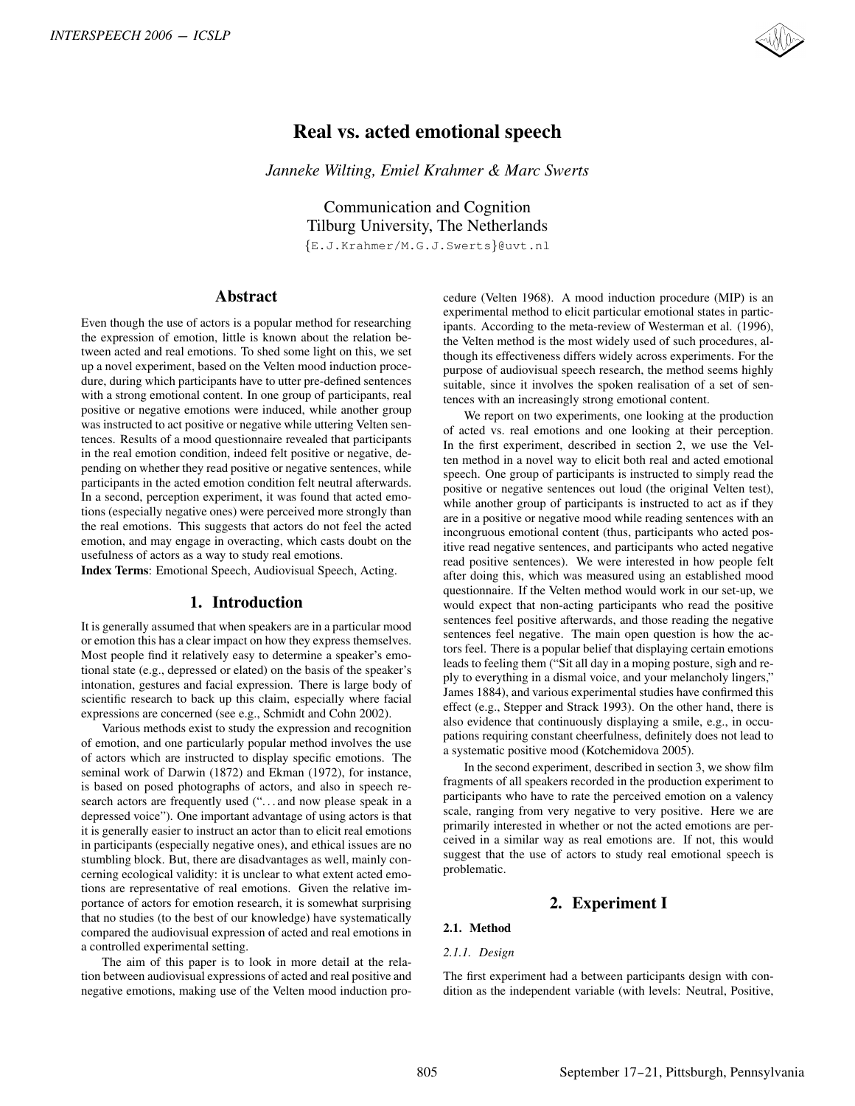

# Real vs. acted emotional speech

*Janneke Wilting, Emiel Krahmer & Marc Swerts*

Communication and Cognition Tilburg University, The Netherlands {E.J.Krahmer/M.G.J.Swerts}@uvt.nl

## Abstract

Even though the use of actors is a popular method for researching the expression of emotion, little is known about the relation between acted and real emotions. To shed some light on this, we set up a novel experiment, based on the Velten mood induction procedure, during which participants have to utter pre-defined sentences with a strong emotional content. In one group of participants, real positive or negative emotions were induced, while another group was instructed to act positive or negative while uttering Velten sentences. Results of a mood questionnaire revealed that participants in the real emotion condition, indeed felt positive or negative, depending on whether they read positive or negative sentences, while participants in the acted emotion condition felt neutral afterwards. In a second, perception experiment, it was found that acted emotions (especially negative ones) were perceived more strongly than the real emotions. This suggests that actors do not feel the acted emotion, and may engage in overacting, which casts doubt on the usefulness of actors as a way to study real emotions.

Index Terms: Emotional Speech, Audiovisual Speech, Acting.

# 1. Introduction

It is generally assumed that when speakers are in a particular mood or emotion this has a clear impact on how they express themselves. Most people find it relatively easy to determine a speaker's emotional state (e.g., depressed or elated) on the basis of the speaker's intonation, gestures and facial expression. There is large body of scientific research to back up this claim, especially where facial expressions are concerned (see e.g., Schmidt and Cohn 2002).

Various methods exist to study the expression and recognition of emotion, and one particularly popular method involves the use of actors which are instructed to display specific emotions. The seminal work of Darwin (1872) and Ekman (1972), for instance, is based on posed photographs of actors, and also in speech research actors are frequently used ("...and now please speak in a depressed voice"). One important advantage of using actors is that it is generally easier to instruct an actor than to elicit real emotions in participants (especially negative ones), and ethical issues are no stumbling block. But, there are disadvantages as well, mainly concerning ecological validity: it is unclear to what extent acted emotions are representative of real emotions. Given the relative importance of actors for emotion research, it is somewhat surprising that no studies (to the best of our knowledge) have systematically compared the audiovisual expression of acted and real emotions in a controlled experimental setting.

The aim of this paper is to look in more detail at the relation between audiovisual expressions of acted and real positive and negative emotions, making use of the Velten mood induction procedure (Velten 1968). A mood induction procedure (MIP) is an experimental method to elicit particular emotional states in participants. According to the meta-review of Westerman et al. (1996), the Velten method is the most widely used of such procedures, although its effectiveness differs widely across experiments. For the purpose of audiovisual speech research, the method seems highly suitable, since it involves the spoken realisation of a set of sentences with an increasingly strong emotional content.

We report on two experiments, one looking at the production of acted vs. real emotions and one looking at their perception. In the first experiment, described in section 2, we use the Velten method in a novel way to elicit both real and acted emotional speech. One group of participants is instructed to simply read the positive or negative sentences out loud (the original Velten test), while another group of participants is instructed to act as if they are in a positive or negative mood while reading sentences with an incongruous emotional content (thus, participants who acted positive read negative sentences, and participants who acted negative read positive sentences). We were interested in how people felt after doing this, which was measured using an established mood questionnaire. If the Velten method would work in our set-up, we would expect that non-acting participants who read the positive sentences feel positive afterwards, and those reading the negative sentences feel negative. The main open question is how the actors feel. There is a popular belief that displaying certain emotions leads to feeling them ("Sit all day in a moping posture, sigh and reply to everything in a dismal voice, and your melancholy lingers," James 1884), and various experimental studies have confirmed this effect (e.g., Stepper and Strack 1993). On the other hand, there is also evidence that continuously displaying a smile, e.g., in occupations requiring constant cheerfulness, definitely does not lead to a systematic positive mood (Kotchemidova 2005). RYERSPECH 2009 - ICSLP<br> **Real vs. active environmental speech values of the Sherica Control in the Sherica Control in the Sherica Control in the Sherica Control in the Sherica Control in the Sherica Control in the Sherica** 

In the second experiment, described in section 3, we show film fragments of all speakers recorded in the production experiment to participants who have to rate the perceived emotion on a valency scale, ranging from very negative to very positive. Here we are primarily interested in whether or not the acted emotions are perceived in a similar way as real emotions are. If not, this would suggest that the use of actors to study real emotional speech is problematic.

# 2. Experiment I

## 2.1. Method

### *2.1.1. Design*

The first experiment had a between participants design with condition as the independent variable (with levels: Neutral, Positive,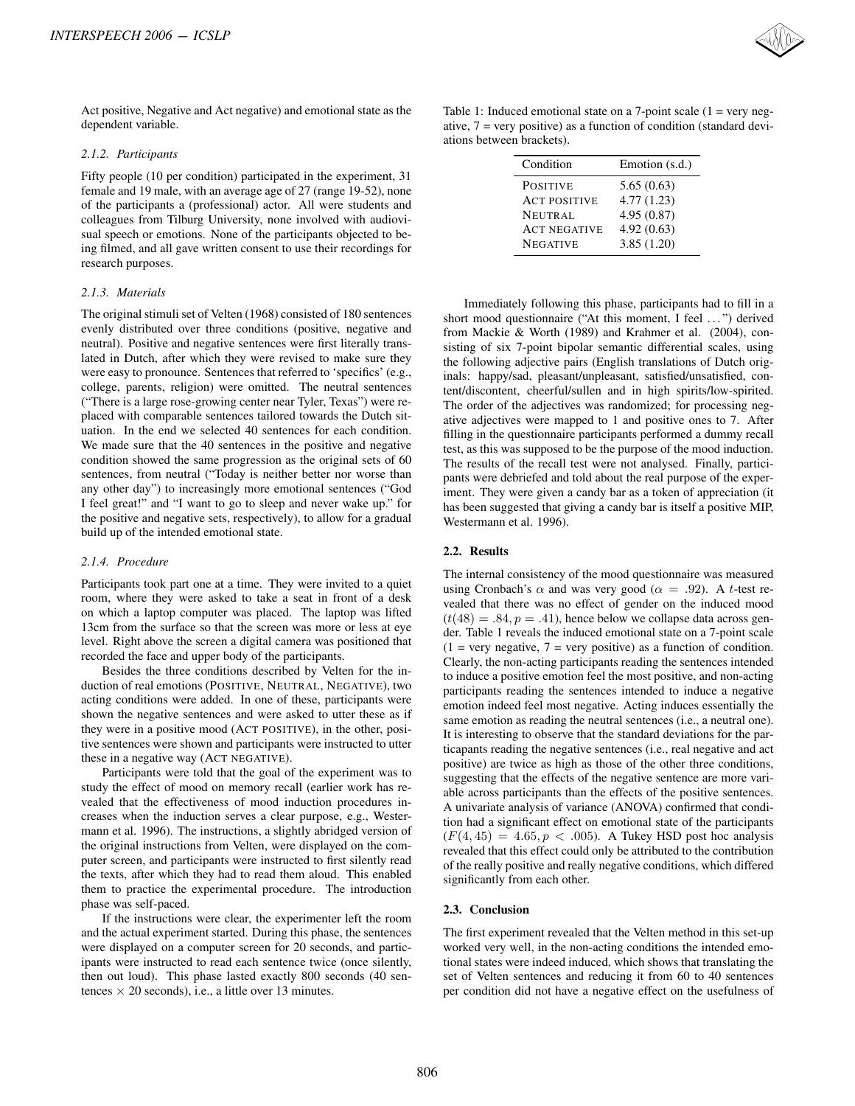

#### *2.1.2. Participants*

Fifty people (10 per condition) participated in the experiment, 31 female and 19 male, with an average age of 27 (range 19-52), none of the participants a (professional) actor. All were students and colleagues from Tilburg University, none involved with audiovisual speech or emotions. None of the participants objected to being filmed, and all gave written consent to use their recordings for research purposes.

#### *2.1.3. Materials*

The original stimuli set of Velten (1968) consisted of 180 sentences evenly distributed over three conditions (positive, negative and neutral). Positive and negative sentences were first literally translated in Dutch, after which they were revised to make sure they were easy to pronounce. Sentences that referred to 'specifics' (e.g., college, parents, religion) were omitted. The neutral sentences ("There is a large rose-growing center near Tyler, Texas") were replaced with comparable sentences tailored towards the Dutch situation. In the end we selected 40 sentences for each condition. We made sure that the 40 sentences in the positive and negative condition showed the same progression as the original sets of 60 sentences, from neutral ("Today is neither better nor worse than any other day") to increasingly more emotional sentences ("God I feel great!" and "I want to go to sleep and never wake up." for the positive and negative sets, respectively), to allow for a gradual build up of the intended emotional state. INTERSPEECH 2006 - ICSLP<br>Act positive. Negative and Act aegative) and emotional state as the dispersion variable.<br>
2.4.2 Participates in decreasing the captain of the experiment, 31<br>
(drawled the state of the condition pa

#### *2.1.4. Procedure*

Participants took part one at a time. They were invited to a quiet room, where they were asked to take a seat in front of a desk on which a laptop computer was placed. The laptop was lifted 13cm from the surface so that the screen was more or less at eye level. Right above the screen a digital camera was positioned that recorded the face and upper body of the participants.

Besides the three conditions described by Velten for the induction of real emotions (POSITIVE, NEUTRAL, NEGATIVE), two acting conditions were added. In one of these, participants were shown the negative sentences and were asked to utter these as if they were in a positive mood (ACT POSITIVE), in the other, positive sentences were shown and participants were instructed to utter these in a negative way (ACT NEGATIVE).

Participants were told that the goal of the experiment was to study the effect of mood on memory recall (earlier work has revealed that the effectiveness of mood induction procedures increases when the induction serves a clear purpose, e.g., Westermann et al. 1996). The instructions, a slightly abridged version of the original instructions from Velten, were displayed on the computer screen, and participants were instructed to first silently read the texts, after which they had to read them aloud. This enabled them to practice the experimental procedure. The introduction phase was self-paced.

If the instructions were clear, the experimenter left the room and the actual experiment started. During this phase, the sentences were displayed on a computer screen for 20 seconds, and participants were instructed to read each sentence twice (once silently, then out loud). This phase lasted exactly 800 seconds (40 sentences  $\times$  20 seconds), i.e., a little over 13 minutes.



Table 1: Induced emotional state on a 7-point scale  $(1 = \text{very neg-})$ ative,  $7$  = very positive) as a function of condition (standard deviations between brackets).

| Condition           | Emotion (s.d.) |
|---------------------|----------------|
| <b>POSITIVE</b>     | 5.65(0.63)     |
| <b>ACT POSITIVE</b> | 4.77(1.23)     |
| <b>NEUTRAL</b>      | 4.95(0.87)     |
| <b>ACT NEGATIVE</b> | 4.92(0.63)     |
| <b>NEGATIVE</b>     | 3.85(1.20)     |

Immediately following this phase, participants had to fill in a short mood questionnaire ("At this moment, I feel ...") derived from Mackie & Worth (1989) and Krahmer et al. (2004), consisting of six 7-point bipolar semantic differential scales, using the following adjective pairs (English translations of Dutch originals: happy/sad, pleasant/unpleasant, satisfied/unsatisfied, content/discontent, cheerful/sullen and in high spirits/low-spirited. The order of the adjectives was randomized; for processing negative adjectives were mapped to 1 and positive ones to 7. After filling in the questionnaire participants performed a dummy recall test, as this was supposed to be the purpose of the mood induction. The results of the recall test were not analysed. Finally, participants were debriefed and told about the real purpose of the experiment. They were given a candy bar as a token of appreciation (it has been suggested that giving a candy bar is itself a positive MIP, Westermann et al. 1996).

#### 2.2. Results

The internal consistency of the mood questionnaire was measured using Cronbach's  $\alpha$  and was very good ( $\alpha = .92$ ). A t-test revealed that there was no effect of gender on the induced mood  $(t(48) = .84, p = .41)$ , hence below we collapse data across gender. Table 1 reveals the induced emotional state on a 7-point scale  $(1 = \text{very negative}, 7 = \text{very positive})$  as a function of condition. Clearly, the non-acting participants reading the sentences intended to induce a positive emotion feel the most positive, and non-acting participants reading the sentences intended to induce a negative emotion indeed feel most negative. Acting induces essentially the same emotion as reading the neutral sentences (i.e., a neutral one). It is interesting to observe that the standard deviations for the particapants reading the negative sentences (i.e., real negative and act positive) are twice as high as those of the other three conditions, suggesting that the effects of the negative sentence are more variable across participants than the effects of the positive sentences. A univariate analysis of variance (ANOVA) confirmed that condition had a significant effect on emotional state of the participants  $(F(4, 45) = 4.65, p < .005)$ . A Tukey HSD post hoc analysis revealed that this effect could only be attributed to the contribution of the really positive and really negative conditions, which differed significantly from each other.

#### 2.3. Conclusion

The first experiment revealed that the Velten method in this set-up worked very well, in the non-acting conditions the intended emotional states were indeed induced, which shows that translating the set of Velten sentences and reducing it from 60 to 40 sentences per condition did not have a negative effect on the usefulness of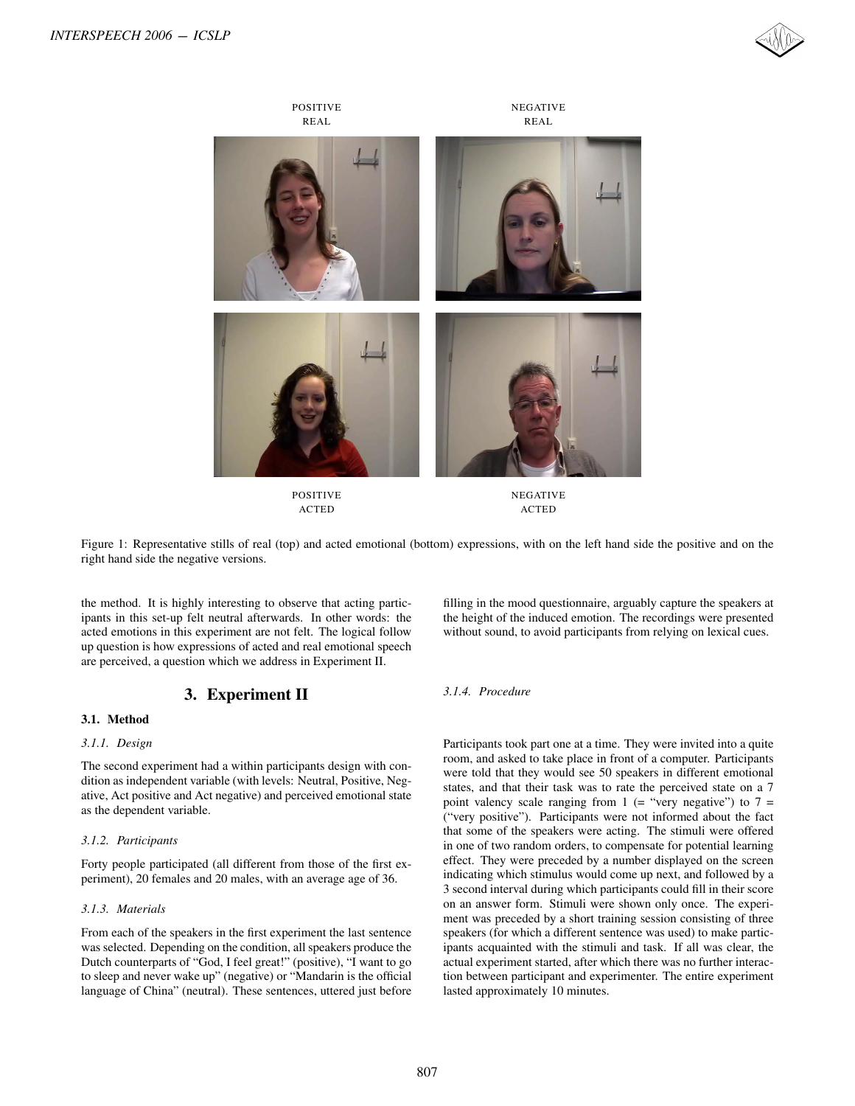



ACTED ACTED

Figure 1: Representative stills of real (top) and acted emotional (bottom) expressions, with on the left hand side the positive and on the right hand side the negative versions.

the method. It is highly interesting to observe that acting participants in this set-up felt neutral afterwards. In other words: the acted emotions in this experiment are not felt. The logical follow up question is how expressions of acted and real emotional speech are perceived, a question which we address in Experiment II.

# 3. Experiment II

### 3.1. Method

### *3.1.1. Design*

The second experiment had a within participants design with condition as independent variable (with levels: Neutral, Positive, Negative, Act positive and Act negative) and perceived emotional state as the dependent variable.

### *3.1.2. Participants*

Forty people participated (all different from those of the first experiment), 20 females and 20 males, with an average age of 36.

#### *3.1.3. Materials*

From each of the speakers in the first experiment the last sentence was selected. Depending on the condition, all speakers produce the Dutch counterparts of "God, I feel great!" (positive), "I want to go to sleep and never wake up" (negative) or "Mandarin is the official language of China" (neutral). These sentences, uttered just before filling in the mood questionnaire, arguably capture the speakers at the height of the induced emotion. The recordings were presented without sound, to avoid participants from relying on lexical cues.

### *3.1.4. Procedure*

Participants took part one at a time. They were invited into a quite room, and asked to take place in front of a computer. Participants were told that they would see 50 speakers in different emotional states, and that their task was to rate the perceived state on a 7 point valency scale ranging from  $1$  (= "very negative") to  $7 =$ ("very positive"). Participants were not informed about the fact that some of the speakers were acting. The stimuli were offered in one of two random orders, to compensate for potential learning effect. They were preceded by a number displayed on the screen indicating which stimulus would come up next, and followed by a 3 second interval during which participants could fill in their score on an answer form. Stimuli were shown only once. The experiment was preceded by a short training session consisting of three speakers (for which a different sentence was used) to make participants acquainted with the stimuli and task. If all was clear, the actual experiment started, after which there was no further interaction between participant and experimenter. The entire experiment lasted approximately 10 minutes.